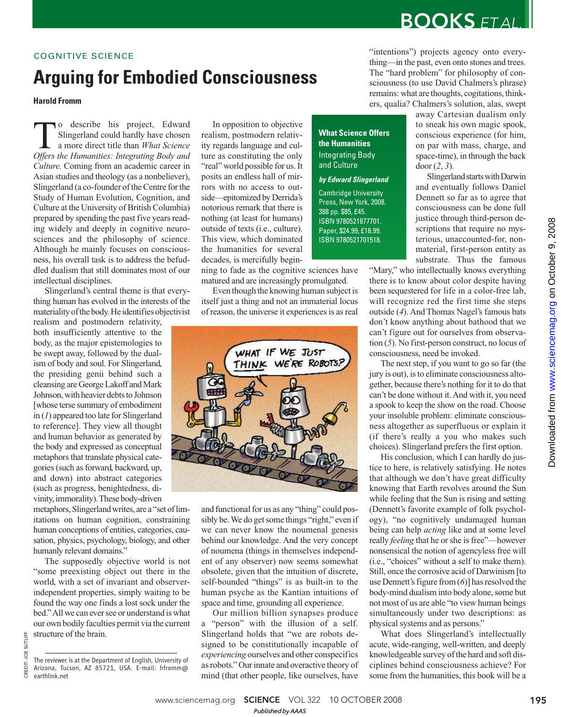# **BOOKS** ETAL.

### COGNITIVE SCIENCE

# **Arguing for Embodied Consciousness**

### **Harold Fromm**

**The State of Science State Superland could hardly have chosen a more direct title than** *What Science Offers the Humanities: Integrating Body and* o describe his project, Edward Slingerland could hardly have chosen a more direct title than *What Science Culture.* Coming from an academic career in Asian studies and theology (as a nonbeliever), Slingerland (a co-founder of the Centre for the Study of Human Evolution, Cognition, and Culture at the University of British Columbia) prepared by spending the past five years reading widely and deeply in cognitive neurosciences and the philosophy of science. Although he mainly focuses on consciousness, his overall task is to address the befuddled dualism that still dominates most of our intellectual disciplines.

Slingerland's central theme is that everything human has evolved in the interests of the materiality of the body. He identifies objectivist

realism and postmodern relativity, both insufficiently attentive to the body, as the major epistemologies to be swept away, followed by the dualism of body and soul. For Slingerland, the presiding genii behind such a cleansing are George Lakoff and Mark Johnson, with heavier debts to Johnson [whose terse summary of embodiment in (*1*) appeared too late for Slingerland to reference]. They view all thought and human behavior as generated by the body and expressed as conceptual metaphors that translate physical categories (such as forward, backward, up, and down) into abstract categories (such as progress, benightedness, divinity, immorality). These body-driven

metaphors, Slingerland writes, are a "set of limitations on human cognition, constraining human conceptions of entities, categories, causation, physics, psychology, biology, and other humanly relevant domains."

The supposedly objective world is not "some preexisting object out there in the world, with a set of invariant and observerindependent properties, simply waiting to be found the way one finds a lost sock under the bed." All we can ever see or understand is what our own bodily faculties permit via the current structure of the brain.

CREDIT: JOE SUTLIFF

JOE SUTLIFF

In opposition to objective realism, postmodern relativity regards language and culture as constituting the only "real" world possible for us. It posits an endless hall of mirrors with no access to outside—epitomized by Derrida's notorious remark that there is nothing (at least for humans) outside of texts (i.e., culture). This view, which dominated the humanities for several decades, is mercifully begin-

ning to fade as the cognitive sciences have matured and are increasingly promulgated.

Even though the knowing human subject is itself just a thing and not an immaterial locus of reason, the universe it experiences is as real



and functional for us as any "thing" could possibly be. We do get some things "right," even if we can never know the noumenal genesis behind our knowledge. And the very concept of noumena (things in themselves independent of any observer) now seems somewhat obsolete, given that the intuition of discrete, self-bounded "things" is as built-in to the human psyche as the Kantian intuitions of space and time, grounding all experience.

Our million billion synapses produce a "person" with the illusion of a self. Slingerland holds that "we are robots designed to be constitutionally incapable of *experiencing* ourselves and other conspecifics as robots." Our innate and overactive theory of mind (that other people, like ourselves, have

"intentions") projects agency onto everything—in the past, even onto stones and trees. The "hard problem" for philosophy of consciousness (to use David Chalmers's phrase) remains: what are thoughts, cogitations, thinkers, qualia? Chalmers's solution, alas, swept

**What Science Offers the Humanities** Integrating Body and Culture

**by Edward Slingerland**

Cambridge University Press, New York, 2008. 388 pp. \$85, £45. ISBN 9780521877701. Paper, \$24.99, £18.99. ISBN 9780521701518.

away Cartesian dualism only to sneak his own magic spook, conscious experience (for him, on par with mass, charge, and space-time), in through the back door (*2*, *3*).

Slingerland starts with Darwin and eventually follows Daniel Dennett so far as to agree that consciousness can be done full justice through third-person descriptions that require no mysterious, unaccounted-for, nonmaterial, first-person entity as substrate. Thus the famous

"Mary," who intellectually knows everything there is to know about color despite having been sequestered for life in a color-free lab, will recognize red the first time she steps outside (*4*). And Thomas Nagel's famous bats don't know anything about bathood that we can't figure out for ourselves from observation (*5*). No first-person construct, no locus of consciousness, need be invoked.

The next step, if you want to go so far (the jury is out), is to eliminate consciousness altogether, because there's nothing for it to do that can't be done without it. And with it, you need a spook to keep the show on the road. Choose your insoluble problem: eliminate consciousness altogether as superfluous or explain it (if there's really a you who makes such choices). Slingerland prefers the first option.

His conclusion, which I can hardly do justice to here, is relatively satisfying. He notes that although we don't have great difficulty knowing that Earth revolves around the Sun while feeling that the Sun is rising and setting (Dennett's favorite example of folk psychology), "no cognitively undamaged human being can help *acting* like and at some level really *feeling* that he or she is free"—however nonsensical the notion of agencyless free will (i.e., "choices" without a self to make them). Still, once the corrosive acid of Darwinism [to use Dennett's figure from (*6*)] has resolved the body-mind dualism into body alone, some but not most of us are able "to view human beings simultaneously under two descriptions: as physical systems and as persons."

What does Slingerland's intellectually acute, wide-ranging, well-written, and deeply knowledgeable survey of the hard and soft disciplines behind consciousness achieve? For some from the humanities, this book will be a

www.sciencemag.org **SCIENCE** VOL 322 10 OCTOBER 2008 195 *Published byAAAS*

The reviewer is at the Department of English, University of Arizona, Tucson, AZ 85721, USA. E-mail: hfromm@ earthlink.net